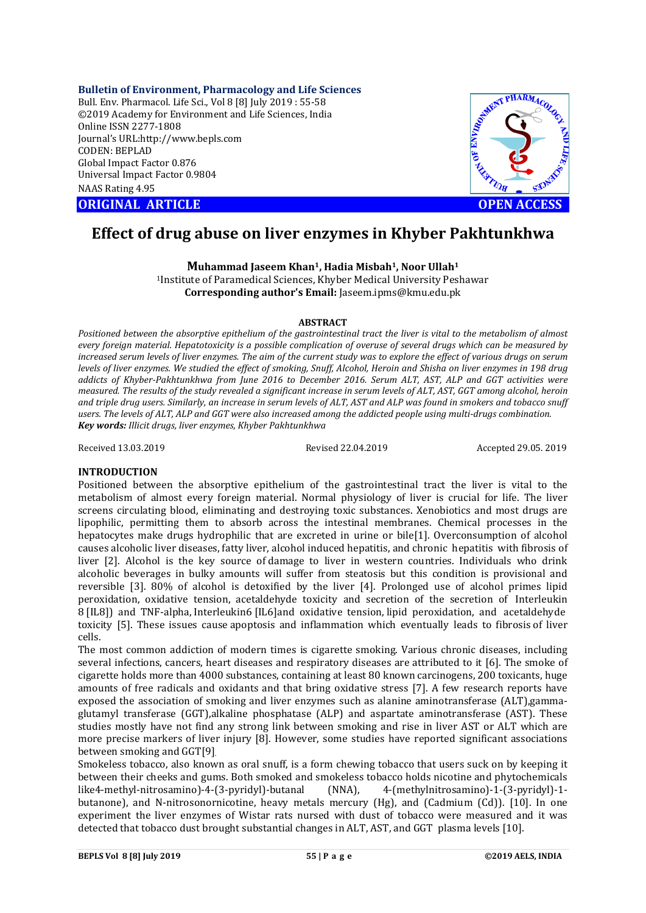**Bulletin of Environment, Pharmacology and Life Sciences** Bull. Env. Pharmacol. Life Sci., Vol 8 [8] July 2019 : 55-58 ©2019 Academy for Environment and Life Sciences, India Online ISSN 2277-1808 Journal's URL:http://www.bepls.com CODEN: BEPLAD Global Impact Factor 0.876 Universal Impact Factor 0.9804 NAAS Rating 4.95

**ORIGINAL ARTICLE OPEN ACCESS** 



# **Effect of drug abuse on liver enzymes in Khyber Pakhtunkhwa**

**Muhammad Jaseem Khan1, Hadia Misbah1, Noor Ullah1** 1Institute of Paramedical Sciences, Khyber Medical University Peshawar **Corresponding author's Email:** Jaseem.ipms@kmu.edu.pk

#### **ABSTRACT**

*Positioned between the absorptive epithelium of the gastrointestinal tract the liver is vital to the metabolism of almost every foreign material. Hepatotoxicity is a possible complication of overuse of several drugs which can be measured by increased serum levels of liver enzymes. The aim of the current study was to explore the effect of various drugs on serum levels of liver enzymes. We studied the effect of smoking, Snuff, Alcohol, Heroin and Shisha on liver enzymes in 198 drug addicts of Khyber-Pakhtunkhwa from June 2016 to December 2016. Serum ALT, AST, ALP and GGT activities were measured. The results of the study revealed a significant increase in serum levels of ALT, AST, GGT among alcohol, heroin and triple drug users. Similarly, an increase in serum levels of ALT, AST and ALP was found in smokers and tobacco snuff users. The levels of ALT, ALP and GGT were also increased among the addicted people using multi-drugs combination. Key words: Illicit drugs, liver enzymes, Khyber Pakhtunkhwa*

Received 13.03.2019 Revised 22.04.2019 Accepted 29.05. 2019

## **INTRODUCTION**

Positioned between the absorptive epithelium of the gastrointestinal tract the liver is vital to the metabolism of almost every foreign material. Normal physiology of liver is crucial for life. The liver screens circulating blood, eliminating and destroying toxic substances. Xenobiotics and most drugs are lipophilic, permitting them to absorb across the intestinal membranes. Chemical processes in the hepatocytes make drugs hydrophilic that are excreted in urine or bile[1]. Overconsumption of alcohol causes alcoholic liver diseases, fatty liver, alcohol induced hepatitis, and chronic hepatitis with fibrosis of liver [2]. Alcohol is the key source of damage to liver in western countries. Individuals who drink alcoholic beverages in bulky amounts will suffer from steatosis but this condition is provisional and reversible [3]. 80% of alcohol is detoxified by the liver [4]. Prolonged use of alcohol primes lipid peroxidation, oxidative tension, acetaldehyde toxicity and secretion of the secretion of Interleukin 8 [IL8]) and TNF-alpha, Interleukin6 [IL6]and oxidative tension, lipid peroxidation, and acetaldehyde toxicity [5]. These issues cause apoptosis and inflammation which eventually leads to fibrosis of liver cells.

The most common addiction of modern times is cigarette smoking. Various chronic diseases, including several infections, cancers, heart diseases and respiratory diseases are attributed to it [6]. The smoke of cigarette holds more than 4000 substances, containing at least 80 known carcinogens, 200 toxicants, huge amounts of free radicals and oxidants and that bring oxidative stress [7]. A few research reports have exposed the association of smoking and liver enzymes such as alanine aminotransferase (ALT),gammaglutamyl transferase (GGT),alkaline phosphatase (ALP) and aspartate aminotransferase (AST). These studies mostly have not find any strong link between smoking and rise in liver AST or ALT which are more precise markers of liver injury [8]. However, some studies have reported significant associations between smoking and GGT[9].

Smokeless tobacco, also known as oral snuff, is a form chewing tobacco that users suck on by keeping it between their cheeks and gums. Both smoked and smokeless tobacco holds nicotine and phytochemicals like4-methyl-nitrosamino)-4-(3-pyridyl)-butanal (NNA), 4-(methylnitrosamino)-1-(3-pyridyl)-1 butanone), and N-nitrosonornicotine, heavy metals mercury (Hg), and (Cadmium (Cd)). [10]. In one experiment the liver enzymes of Wistar rats nursed with dust of tobacco were measured and it was detected that tobacco dust brought substantial changes in ALT, AST, and GGT plasma levels [10].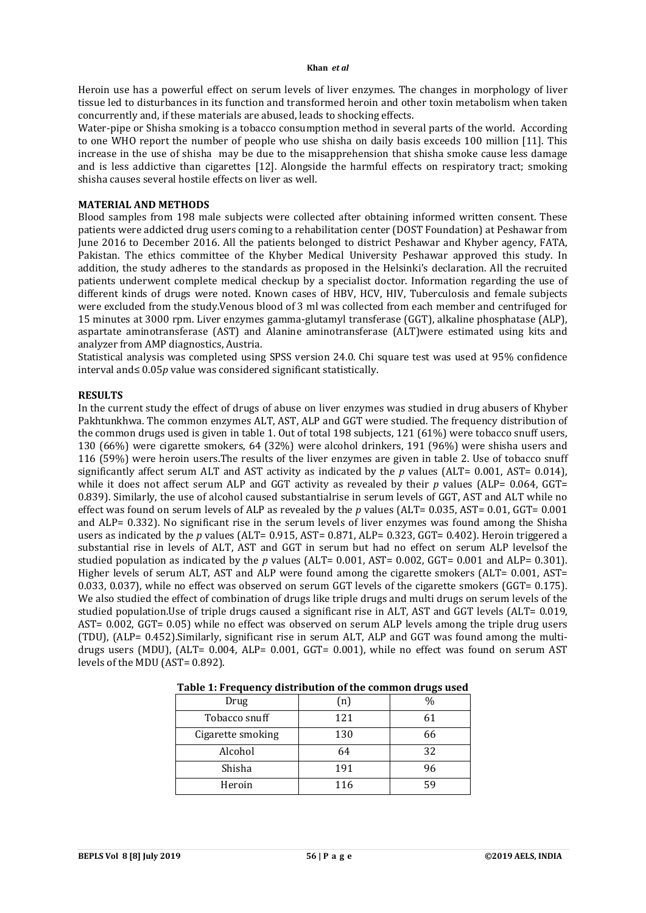#### **Khan** *et al*

Heroin use has a powerful effect on serum levels of liver enzymes. The changes in morphology of liver tissue led to disturbances in its function and transformed heroin and other toxin metabolism when taken concurrently and, if these materials are abused, leads to shocking effects.

Water-pipe or Shisha smoking is a tobacco consumption method in several parts of the world. According to one WHO report the number of people who use shisha on daily basis exceeds 100 million [11]. This increase in the use of shisha may be due to the misapprehension that shisha smoke cause less damage and is less addictive than cigarettes [12]. Alongside the harmful effects on respiratory tract; smoking shisha causes several hostile effects on liver as well.

## **MATERIAL AND METHODS**

Blood samples from 198 male subjects were collected after obtaining informed written consent. These patients were addicted drug users coming to a rehabilitation center (DOST Foundation) at Peshawar from June 2016 to December 2016. All the patients belonged to district Peshawar and Khyber agency, FATA, Pakistan. The ethics committee of the Khyber Medical University Peshawar approved this study. In addition, the study adheres to the standards as proposed in the Helsinki's declaration. All the recruited patients underwent complete medical checkup by a specialist doctor. Information regarding the use of different kinds of drugs were noted. Known cases of HBV, HCV, HIV, Tuberculosis and female subjects were excluded from the study.Venous blood of 3 ml was collected from each member and centrifuged for 15 minutes at 3000 rpm. Liver enzymes gamma-glutamyl transferase (GGT), alkaline phosphatase (ALP), aspartate aminotransferase (AST) and Alanine aminotransferase (ALT)were estimated using kits and analyzer from AMP diagnostics, Austria.

Statistical analysis was completed using SPSS version 24.0. Chi square test was used at 95% confidence interval and≤ 0.05*p* value was considered significant statistically.

### **RESULTS**

In the current study the effect of drugs of abuse on liver enzymes was studied in drug abusers of Khyber Pakhtunkhwa. The common enzymes ALT, AST, ALP and GGT were studied. The frequency distribution of the common drugs used is given in table 1. Out of total 198 subjects, 121 (61%) were tobacco snuff users, 130 (66%) were cigarette smokers, 64 (32%) were alcohol drinkers, 191 (96%) were shisha users and 116 (59%) were heroin users.The results of the liver enzymes are given in table 2. Use of tobacco snuff significantly affect serum ALT and AST activity as indicated by the *p* values (ALT= 0.001, AST= 0.014), while it does not affect serum ALP and GGT activity as revealed by their *p* values (ALP= 0.064, GGT= 0.839). Similarly, the use of alcohol caused substantialrise in serum levels of GGT, AST and ALT while no effect was found on serum levels of ALP as revealed by the *p* values (ALT= 0.035, AST= 0.01, GGT= 0.001 and ALP= 0.332). No significant rise in the serum levels of liver enzymes was found among the Shisha users as indicated by the *p* values (ALT= 0.915, AST= 0.871, ALP= 0.323, GGT= 0.402). Heroin triggered a substantial rise in levels of ALT, AST and GGT in serum but had no effect on serum ALP levelsof the studied population as indicated by the *p* values (ALT= 0.001, AST= 0.002, GGT= 0.001 and ALP= 0.301). Higher levels of serum ALT, AST and ALP were found among the cigarette smokers (ALT= 0.001, AST= 0.033, 0.037), while no effect was observed on serum GGT levels of the cigarette smokers (GGT= 0.175). We also studied the effect of combination of drugs like triple drugs and multi drugs on serum levels of the studied population.Use of triple drugs caused a significant rise in ALT, AST and GGT levels (ALT= 0.019, AST= 0.002, GGT= 0.05) while no effect was observed on serum ALP levels among the triple drug users (TDU), (ALP= 0.452).Similarly, significant rise in serum ALT, ALP and GGT was found among the multidrugs users (MDU), (ALT= 0.004, ALP= 0.001, GGT= 0.001), while no effect was found on serum AST levels of the MDU (AST= 0.892).

| Drug              | $\lceil n \rceil$ | $\frac{0}{0}$ |  |  |
|-------------------|-------------------|---------------|--|--|
| Tobacco snuff     | 121               | 61            |  |  |
| Cigarette smoking | 130               | 66            |  |  |
| Alcohol           | 64                | 32            |  |  |
| Shisha            | 191               | 96            |  |  |
| Heroin            | 116               | 59            |  |  |

| Table 1: Frequency distribution of the common drugs used |
|----------------------------------------------------------|
|----------------------------------------------------------|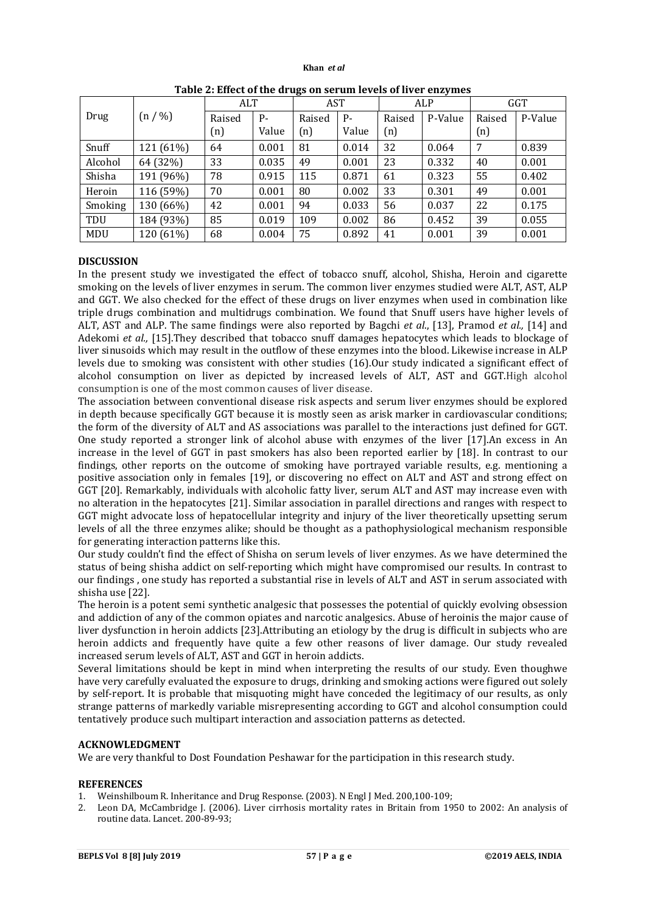#### **Khan** *et al*

|         |           | ALT    |       | -- <del>- -</del><br><b>AST</b> |       | ALP    |         | <b>GGT</b> |         |
|---------|-----------|--------|-------|---------------------------------|-------|--------|---------|------------|---------|
| Drug    | (n / %)   | Raised | Р-    | Raised                          | $P -$ | Raised | P-Value | Raised     | P-Value |
|         |           | (n)    | Value | (n)                             | Value | (n)    |         | (n)        |         |
| Snuff   | 121 (61%) | 64     | 0.001 | 81                              | 0.014 | 32     | 0.064   | 7          | 0.839   |
| Alcohol | 64 (32%)  | 33     | 0.035 | 49                              | 0.001 | 23     | 0.332   | 40         | 0.001   |
| Shisha  | 191 (96%) | 78     | 0.915 | 115                             | 0.871 | 61     | 0.323   | 55         | 0.402   |
| Heroin  | 116 (59%) | 70     | 0.001 | 80                              | 0.002 | 33     | 0.301   | 49         | 0.001   |
| Smoking | 130 (66%) | 42     | 0.001 | 94                              | 0.033 | 56     | 0.037   | 22         | 0.175   |
| TDU     | 184 (93%) | 85     | 0.019 | 109                             | 0.002 | 86     | 0.452   | 39         | 0.055   |
| MDU     | 120 (61%) | 68     | 0.004 | 75                              | 0.892 | 41     | 0.001   | 39         | 0.001   |

## **DISCUSSION**

In the present study we investigated the effect of tobacco snuff, alcohol, Shisha, Heroin and cigarette smoking on the levels of liver enzymes in serum. The common liver enzymes studied were ALT, AST, ALP and GGT. We also checked for the effect of these drugs on liver enzymes when used in combination like triple drugs combination and multidrugs combination. We found that Snuff users have higher levels of ALT, AST and ALP. The same findings were also reported by Bagchi *et al*., [13], Pramod *et al.,* [14] and Adekomi *et al.,* [15].They described that tobacco snuff damages hepatocytes which leads to blockage of liver sinusoids which may result in the outflow of these enzymes into the blood. Likewise increase in ALP levels due to smoking was consistent with other studies (16).Our study indicated a significant effect of alcohol consumption on liver as depicted by increased levels of ALT, AST and GGT.High alcohol consumption is one of the most common causes of liver disease.

The association between conventional disease risk aspects and serum liver enzymes should be explored in depth because specifically GGT because it is mostly seen as arisk marker in cardiovascular conditions; the form of the diversity of ALT and AS associations was parallel to the interactions just defined for GGT. One study reported a stronger link of alcohol abuse with enzymes of the liver [17].An excess in An increase in the level of GGT in past smokers has also been reported earlier by [18]. In contrast to our findings, other reports on the outcome of smoking have portrayed variable results, e.g. mentioning a positive association only in females [19], or discovering no effect on ALT and AST and strong effect on GGT [20]. Remarkably, individuals with alcoholic fatty liver, serum ALT and AST may increase even with no alteration in the hepatocytes [21]. Similar association in parallel directions and ranges with respect to GGT might advocate loss of hepatocellular integrity and injury of the liver theoretically upsetting serum levels of all the three enzymes alike; should be thought as a pathophysiological mechanism responsible for generating interaction patterns like this.

Our study couldn't find the effect of Shisha on serum levels of liver enzymes. As we have determined the status of being shisha addict on self-reporting which might have compromised our results. In contrast to our findings , one study has reported a substantial rise in levels of ALT and AST in serum associated with shisha use [22].

The heroin is a potent semi synthetic analgesic that possesses the potential of quickly evolving obsession and addiction of any of the common opiates and narcotic analgesics. Abuse of heroinis the major cause of liver dysfunction in heroin addicts [23].Attributing an etiology by the drug is difficult in subjects who are heroin addicts and frequently have quite a few other reasons of liver damage. Our study revealed increased serum levels of ALT, AST and GGT in heroin addicts.

Several limitations should be kept in mind when interpreting the results of our study. Even thoughwe have very carefully evaluated the exposure to drugs, drinking and smoking actions were figured out solely by self-report. It is probable that misquoting might have conceded the legitimacy of our results, as only strange patterns of markedly variable misrepresenting according to GGT and alcohol consumption could tentatively produce such multipart interaction and association patterns as detected.

## **ACKNOWLEDGMENT**

We are very thankful to Dost Foundation Peshawar for the participation in this research study.

## **REFERENCES**

- 1. Weinshilboum R. Inheritance and Drug Response. (2003). N Engl J Med. 200,100-109;
- 2. Leon DA, McCambridge J. (2006). Liver cirrhosis mortality rates in Britain from 1950 to 2002: An analysis of routine data. Lancet. 200-89-93;